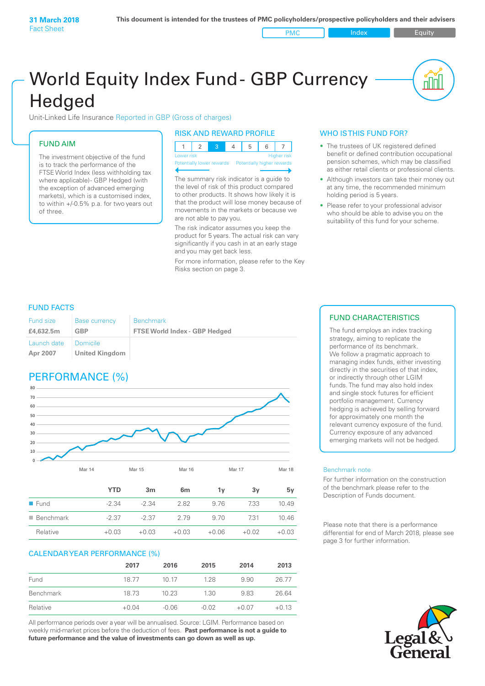PMC Index PMC Equity

nl Inl

# World Equity Index Fund- GBP Currency **Hedged**

Unit-Linked Life Insurance Reported in GBP (Gross of charges)

### FUND AIM

The investment objective of the fund is to track the performance of the FTSE World Index (less withholding tax where applicable) - GBP Hedged (with the exception of advanced emerging markets), which is a customised index, to within +/‑0.5% p.a. for two years out of three.

#### RISK AND REWARD PROFILE

| Lower risk |  |  | <b>Higher risk</b> |
|------------|--|--|--------------------|

ntially lower rewards

The summary risk indicator is a guide to the level of risk of this product compared to other products. It shows how likely it is that the product will lose money because of movements in the markets or because we are not able to pay you.

The risk indicator assumes you keep the product for 5 years. The actual risk can vary significantly if you cash in at an early stage and you may get back less.

For more information, please refer to the Key Risks section on page 3.

#### WHO IS THIS FUND FOR?

- The trustees of UK registered defined benefit or defined contribution occupational pension schemes, which may be classified as either retail clients or professional clients.
- Although investors can take their money out at any time, the recommended minimum holding period is 5 years.
- Please refer to your professional advisor who should be able to advise you on the suitability of this fund for your scheme.

#### FUND FACTS

| <b>Fund size</b>        | <b>Base currency</b>              | <b>Benchmark</b>                     |
|-------------------------|-----------------------------------|--------------------------------------|
| £4,632.5m               | GBP                               | <b>FTSE World Index - GBP Hedged</b> |
| Launch date<br>Apr 2007 | Domicile<br><b>United Kingdom</b> |                                      |

## PERFORMANCE (%)



|                          | YTD     | 3 <sub>m</sub> | 6 <sub>m</sub> | ΊV      | 3v      | 5v      |
|--------------------------|---------|----------------|----------------|---------|---------|---------|
| $\blacksquare$ Fund      | -2.34   | $-2.34$        | 2.82           | 9.76    | 7.33    | 10.49   |
| $\blacksquare$ Benchmark | $-2.37$ | $-2.37$        | 2.79           | 9.70    | 731     | 10.46   |
| Relative                 | $+0.03$ | $+0.03$        | $+0.03$        | $+0.06$ | $+0.02$ | $+0.03$ |

#### CALENDAR YEAR PERFORMANCE (%)

|           | 2017    | 2016    | 2015    | 2014    | 2013    |
|-----------|---------|---------|---------|---------|---------|
| Fund      | 18.77   | 10 17   | 128     | 9.90    | 26.77   |
| Benchmark | 18.73   | 10.23   | 1.30    | 9.83    | 26.64   |
| Relative  | $+0.04$ | $-0.06$ | $-0.02$ | $+0.07$ | $+0.13$ |

All performance periods over a year will be annualised. Source: LGIM. Performance based on weekly mid-market prices before the deduction of fees. **Past performance is not a guide to future performance and the value of investments can go down as well as up.**

#### FUND CHARACTERISTICS

The fund employs an index tracking strategy, aiming to replicate the performance of its benchmark. We follow a pragmatic approach to managing index funds, either investing directly in the securities of that index, or indirectly through other LGIM funds. The fund may also hold index and single stock futures for efficient portfolio management. Currency hedging is achieved by selling forward for approximately one month the relevant currency exposure of the fund. Currency exposure of any advanced emerging markets will not be hedged.

#### Benchmark note

For further information on the construction of the benchmark please refer to the Description of Funds document.

Please note that there is a performance differential for end of March 2018, please see page 3 for further information.

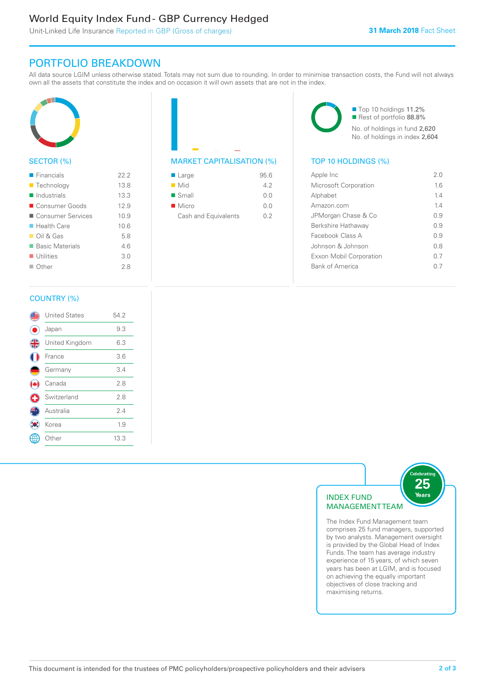### World Equity Index Fund - GBP Currency Hedged

Unit-Linked Life Insurance Reported in GBP (Gross of charges)

### PORTFOLIO BREAKDOWN

All data source LGIM unless otherwise stated. Totals may not sum due to rounding. In order to minimise transaction costs, the Fund will not always own all the assets that constitute the index and on occasion it will own assets that are not in the index.



#### SECTOR (%)

| $\blacksquare$ Financials  | 22.2 |
|----------------------------|------|
| ■ Technology               | 13.8 |
| Industrials                | 13.3 |
| ■ Consumer Goods           | 12.9 |
| ■ Consumer Services        | 10.9 |
| $\blacksquare$ Health Care | 10.6 |
| $\Box$ Oil & Gas           | 5.8  |
| ■ Basic Materials          | 46   |
| $\blacksquare$ Utilities   | 3.0  |
| Other                      | 28   |



| $\blacksquare$ Large | 95.6 |
|----------------------|------|
| $\blacksquare$ Mid   | 42   |
| $\blacksquare$ Small | 0.0  |
| $\blacksquare$ Micro | 0.0  |
| Cash and Equivalents | 0 2  |

■ Top 10 holdings 11.2% Rest of portfolio 88.8% No. of holdings in fund 2,620 No. of holdings in index 2,604

| Apple Inc                    | 2.0 |
|------------------------------|-----|
| <b>Microsoft Corporation</b> | 16  |
| Alphabet                     | 14  |
| Amazon com                   | 14  |
| JPMorgan Chase & Co          | 09  |
| Berkshire Hathaway           | 09  |
| Facebook Class A             | 09  |
| Johnson & Johnson            | 0 S |
| Exxon Mobil Corporation      | 0.7 |
| <b>Bank of America</b>       |     |
|                              |     |

#### COUNTRY (%)

|   | <b>United States</b> | 54.2 |  |
|---|----------------------|------|--|
|   | Japan                | 9.3  |  |
| 4 | United Kingdom       | 6.3  |  |
|   | France               | 3.6  |  |
|   | Germany              | 3.4  |  |
|   | Canada               | 2.8  |  |
|   | Switzerland          | 2.8  |  |
|   | Australia            | 24   |  |
|   | Korea                | 1.9  |  |
|   | : Other              | 13.3 |  |
|   |                      |      |  |



The Index Fund Management team comprises 25 fund managers, supported by two analysts. Management oversight is provided by the Global Head of Index Funds. The team has average industry experience of 15 years, of which seven years has been at LGIM, and is focused on achieving the equally important objectives of close tracking and maximising returns.

elebratin<sup>:</sup>